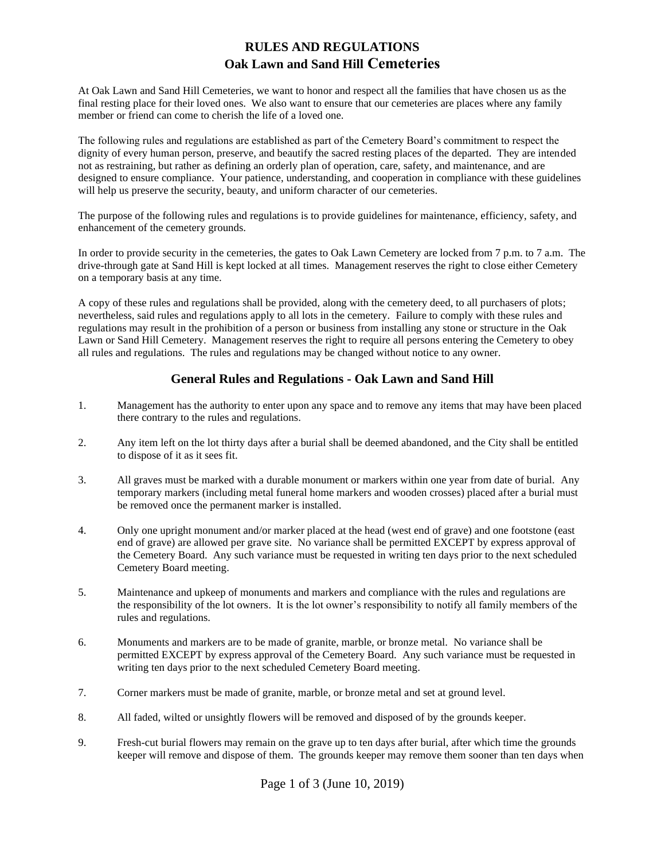# **RULES AND REGULATIONS Oak Lawn and Sand Hill Cemeteries**

At Oak Lawn and Sand Hill Cemeteries, we want to honor and respect all the families that have chosen us as the final resting place for their loved ones. We also want to ensure that our cemeteries are places where any family member or friend can come to cherish the life of a loved one.

The following rules and regulations are established as part of the Cemetery Board's commitment to respect the dignity of every human person, preserve, and beautify the sacred resting places of the departed. They are intended not as restraining, but rather as defining an orderly plan of operation, care, safety, and maintenance, and are designed to ensure compliance. Your patience, understanding, and cooperation in compliance with these guidelines will help us preserve the security, beauty, and uniform character of our cemeteries.

The purpose of the following rules and regulations is to provide guidelines for maintenance, efficiency, safety, and enhancement of the cemetery grounds.

In order to provide security in the cemeteries, the gates to Oak Lawn Cemetery are locked from 7 p.m. to 7 a.m. The drive-through gate at Sand Hill is kept locked at all times. Management reserves the right to close either Cemetery on a temporary basis at any time.

A copy of these rules and regulations shall be provided, along with the cemetery deed, to all purchasers of plots; nevertheless, said rules and regulations apply to all lots in the cemetery. Failure to comply with these rules and regulations may result in the prohibition of a person or business from installing any stone or structure in the Oak Lawn or Sand Hill Cemetery. Management reserves the right to require all persons entering the Cemetery to obey all rules and regulations. The rules and regulations may be changed without notice to any owner.

### **General Rules and Regulations - Oak Lawn and Sand Hill**

- 1. Management has the authority to enter upon any space and to remove any items that may have been placed there contrary to the rules and regulations.
- 2. Any item left on the lot thirty days after a burial shall be deemed abandoned, and the City shall be entitled to dispose of it as it sees fit.
- 3. All graves must be marked with a durable monument or markers within one year from date of burial. Any temporary markers (including metal funeral home markers and wooden crosses) placed after a burial must be removed once the permanent marker is installed.
- 4. Only one upright monument and/or marker placed at the head (west end of grave) and one footstone (east end of grave) are allowed per grave site. No variance shall be permitted EXCEPT by express approval of the Cemetery Board. Any such variance must be requested in writing ten days prior to the next scheduled Cemetery Board meeting.
- 5. Maintenance and upkeep of monuments and markers and compliance with the rules and regulations are the responsibility of the lot owners. It is the lot owner's responsibility to notify all family members of the rules and regulations.
- 6. Monuments and markers are to be made of granite, marble, or bronze metal. No variance shall be permitted EXCEPT by express approval of the Cemetery Board. Any such variance must be requested in writing ten days prior to the next scheduled Cemetery Board meeting.
- 7. Corner markers must be made of granite, marble, or bronze metal and set at ground level.
- 8. All faded, wilted or unsightly flowers will be removed and disposed of by the grounds keeper.
- 9. Fresh-cut burial flowers may remain on the grave up to ten days after burial, after which time the grounds keeper will remove and dispose of them. The grounds keeper may remove them sooner than ten days when

Page 1 of 3 (June 10, 2019)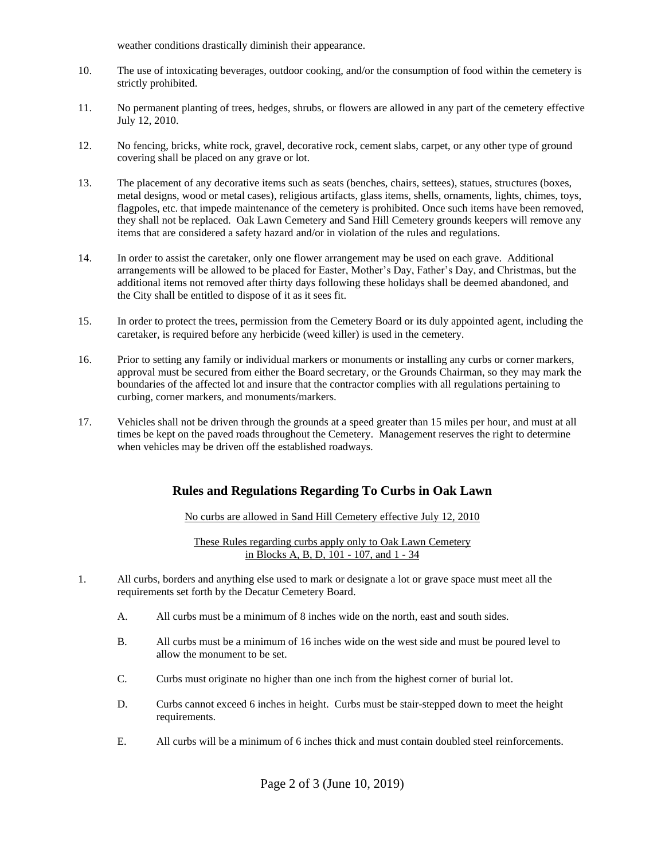weather conditions drastically diminish their appearance.

- 10. The use of intoxicating beverages, outdoor cooking, and/or the consumption of food within the cemetery is strictly prohibited.
- 11. No permanent planting of trees, hedges, shrubs, or flowers are allowed in any part of the cemetery effective July 12, 2010.
- 12. No fencing, bricks, white rock, gravel, decorative rock, cement slabs, carpet, or any other type of ground covering shall be placed on any grave or lot.
- 13. The placement of any decorative items such as seats (benches, chairs, settees), statues, structures (boxes, metal designs, wood or metal cases), religious artifacts, glass items, shells, ornaments, lights, chimes, toys, flagpoles, etc. that impede maintenance of the cemetery is prohibited. Once such items have been removed, they shall not be replaced. Oak Lawn Cemetery and Sand Hill Cemetery grounds keepers will remove any items that are considered a safety hazard and/or in violation of the rules and regulations.
- 14. In order to assist the caretaker, only one flower arrangement may be used on each grave. Additional arrangements will be allowed to be placed for Easter, Mother's Day, Father's Day, and Christmas, but the additional items not removed after thirty days following these holidays shall be deemed abandoned, and the City shall be entitled to dispose of it as it sees fit.
- 15. In order to protect the trees, permission from the Cemetery Board or its duly appointed agent, including the caretaker, is required before any herbicide (weed killer) is used in the cemetery.
- 16. Prior to setting any family or individual markers or monuments or installing any curbs or corner markers, approval must be secured from either the Board secretary, or the Grounds Chairman, so they may mark the boundaries of the affected lot and insure that the contractor complies with all regulations pertaining to curbing, corner markers, and monuments/markers.
- 17. Vehicles shall not be driven through the grounds at a speed greater than 15 miles per hour, and must at all times be kept on the paved roads throughout the Cemetery. Management reserves the right to determine when vehicles may be driven off the established roadways.

### **Rules and Regulations Regarding To Curbs in Oak Lawn**

No curbs are allowed in Sand Hill Cemetery effective July 12, 2010

These Rules regarding curbs apply only to Oak Lawn Cemetery in Blocks A, B, D, 101 - 107, and 1 - 34

- 1. All curbs, borders and anything else used to mark or designate a lot or grave space must meet all the requirements set forth by the Decatur Cemetery Board.
	- A. All curbs must be a minimum of 8 inches wide on the north, east and south sides.
	- B. All curbs must be a minimum of 16 inches wide on the west side and must be poured level to allow the monument to be set.
	- C. Curbs must originate no higher than one inch from the highest corner of burial lot.
	- D. Curbs cannot exceed 6 inches in height. Curbs must be stair-stepped down to meet the height requirements.
	- E. All curbs will be a minimum of 6 inches thick and must contain doubled steel reinforcements.